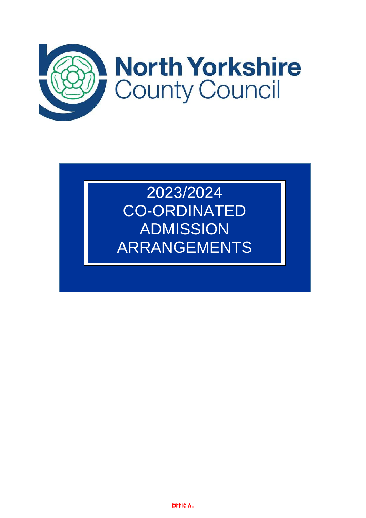

# 2023/2024 CO-ORDINATED ADMISSION ARRANGEMENTS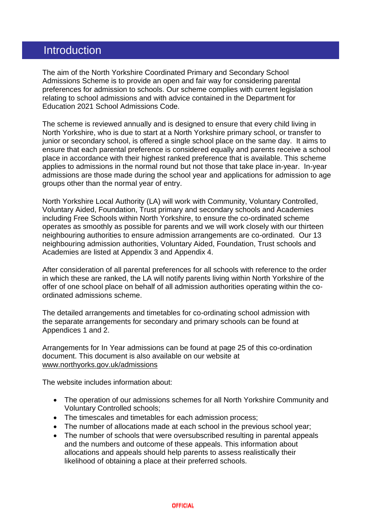### Introduction

The aim of the North Yorkshire Coordinated Primary and Secondary School Admissions Scheme is to provide an open and fair way for considering parental preferences for admission to schools. Our scheme complies with current legislation relating to school admissions and with advice contained in the Department for Education 2021 School Admissions Code.

The scheme is reviewed annually and is designed to ensure that every child living in North Yorkshire, who is due to start at a North Yorkshire primary school, or transfer to junior or secondary school, is offered a single school place on the same day. It aims to ensure that each parental preference is considered equally and parents receive a school place in accordance with their highest ranked preference that is available. This scheme applies to admissions in the normal round but not those that take place in-year. In-year admissions are those made during the school year and applications for admission to age groups other than the normal year of entry.

North Yorkshire Local Authority (LA) will work with Community, Voluntary Controlled, Voluntary Aided, Foundation, Trust primary and secondary schools and Academies including Free Schools within North Yorkshire, to ensure the co-ordinated scheme operates as smoothly as possible for parents and we will work closely with our thirteen neighbouring authorities to ensure admission arrangements are co-ordinated. Our 13 neighbouring admission authorities, Voluntary Aided, Foundation, Trust schools and Academies are listed at Appendix 3 and Appendix 4.

After consideration of all parental preferences for all schools with reference to the order in which these are ranked, the LA will notify parents living within North Yorkshire of the offer of one school place on behalf of all admission authorities operating within the coordinated admissions scheme.

The detailed arrangements and timetables for co-ordinating school admission with the separate arrangements for secondary and primary schools can be found at Appendices 1 and 2.

Arrangements for In Year admissions can be found at page 25 of this co-ordination document. This document is also available on our website at [www.northyorks.gov.uk/admissions](http://www.northyorks.gov.uk/admissions)

The website includes information about:

- The operation of our admissions schemes for all North Yorkshire Community and Voluntary Controlled schools;
- The timescales and timetables for each admission process:
- The number of allocations made at each school in the previous school year;
- The number of schools that were oversubscribed resulting in parental appeals and the numbers and outcome of these appeals. This information about allocations and appeals should help parents to assess realistically their likelihood of obtaining a place at their preferred schools.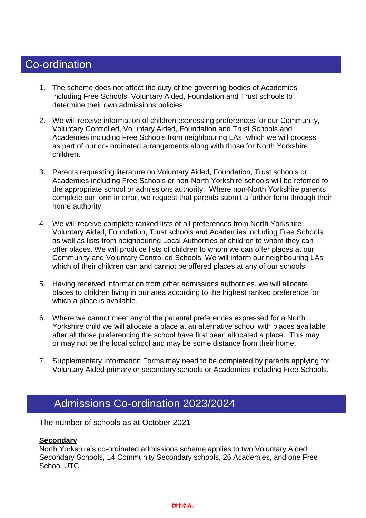# Co-ordination

o-ordination

- 1. The scheme does not affect the duty of the governing bodies of Academies including Free Schools, Voluntary Aided, Foundation and Trust schools to determine their own admissions policies.
- 2. We will receive information of children expressing preferences for our Community, Voluntary Controlled, Voluntary Aided, Foundation and Trust Schools and Academies including Free Schools from neighbouring LAs, which we will process as part of our co- ordinated arrangements along with those for North Yorkshire children.
- 3. Parents requesting literature on Voluntary Aided, Foundation, Trust schools or Academies including Free Schools or non-North Yorkshire schools will be referred to the appropriate school or admissions authority. Where non-North Yorkshire parents complete our form in error, we request that parents submit a further form through their home authority.
- 4. We will receive complete ranked lists of all preferences from North Yorkshire Voluntary Aided, Foundation, Trust schools and Academies including Free Schools as well as lists from neighbouring Local Authorities of children to whom they can offer places. We will produce lists of children to whom we can offer places at our Community and Voluntary Controlled Schools. We will inform our neighbouring LAs which of their children can and cannot be offered places at any of our schools.
- 5. Having received information from other admissions authorities, we will allocate places to children living in our area according to the highest ranked preference for which a place is available.
- 6. Where we cannot meet any of the parental preferences expressed for a North Yorkshire child we will allocate a place at an alternative school with places available after all those preferencing the school have first been allocated a place. This may or may not be the local school and may be some distance from their home.
- 7. Supplementary Information Forms may need to be completed by parents applying for Voluntary Aided primary or secondary schools or Academies including Free Schools.

## Admissions Co-ordination 2023/2024

The number of schools as at October 2021

#### **Secondary**

North Yorkshire's co-ordinated admissions scheme applies to two Voluntary Aided Secondary Schools, 14 Community Secondary schools, 26 Academies, and one Free School UTC.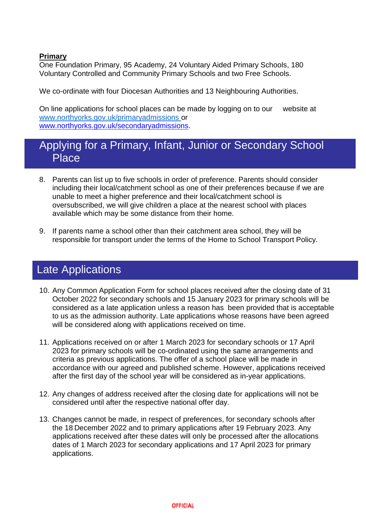#### **Primary**

One Foundation Primary, 95 Academy, 24 Voluntary Aided Primary Schools, 180 Voluntary Controlled and Community Primary Schools and two Free Schools.

We co-ordinate with four Diocesan Authorities and 13 Neighbouring Authorities.

On line applications for school places can be made by logging on to our website at [www.northyorks.gov.uk/primaryadmissions](http://www.northyorks.gov.uk/primaryadmissions) or [www.northyorks.gov.uk/secondaryadmissions.](http://www.northyorks.gov.uk/secondaryadmissions)

### Applying for a Primary, Infant, Junior or Secondary School Place

- 8. Parents can list up to five schools in order of preference. Parents should consider including their local/catchment school as one of their preferences because if we are unable to meet a higher preference and their local/catchment school is oversubscribed, we will give children a place at the nearest school with places available which may be some distance from their home.
- 9. If parents name a school other than their catchment area school, they will be responsible for transport under the terms of the Home to School Transport Policy.

# Late Applications

- 10. Any Common Application Form for school places received after the closing date of 31 October 2022 for secondary schools and 15 January 2023 for primary schools will be considered as a late application unless a reason has been provided that is acceptable to us as the admission authority. Late applications whose reasons have been agreed will be considered along with applications received on time.
- 11. Applications received on or after 1 March 2023 for secondary schools or 17 April 2023 for primary schools will be co-ordinated using the same arrangements and criteria as previous applications. The offer of a school place will be made in accordance with our agreed and published scheme. However, applications received after the first day of the school year will be considered as in-year applications.
- 12. Any changes of address received after the closing date for applications will not be considered until after the respective national offer day.
- 13. Changes cannot be made, in respect of preferences, for secondary schools after the 18 December 2022 and to primary applications after 19 February 2023. Any applications received after these dates will only be processed after the allocations dates of 1 March 2023 for secondary applications and 17 April 2023 for primary applications.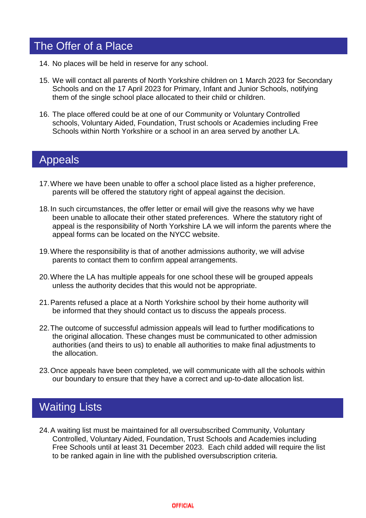# The Offer of a Place

- 14. No places will be held in reserve for any school.
- 15. We will contact all parents of North Yorkshire children on 1 March 2023 for Secondary Schools and on the 17 April 2023 for Primary, Infant and Junior Schools, notifying them of the single school place allocated to their child or children.
- 16. The place offered could be at one of our Community or Voluntary Controlled schools, Voluntary Aided, Foundation, Trust schools or Academies including Free Schools within North Yorkshire or a school in an area served by another LA.

## Appeals

- 17.Where we have been unable to offer a school place listed as a higher preference, parents will be offered the statutory right of appeal against the decision.
- 18.In such circumstances, the offer letter or email will give the reasons why we have been unable to allocate their other stated preferences. Where the statutory right of appeal is the responsibility of North Yorkshire LA we will inform the parents where the appeal forms can be located on the NYCC website.
- 19.Where the responsibility is that of another admissions authority, we will advise parents to contact them to confirm appeal arrangements.
- 20.Where the LA has multiple appeals for one school these will be grouped appeals unless the authority decides that this would not be appropriate.
- 21.Parents refused a place at a North Yorkshire school by their home authority will be informed that they should contact us to discuss the appeals process.
- 22.The outcome of successful admission appeals will lead to further modifications to the original allocation. These changes must be communicated to other admission authorities (and theirs to us) to enable all authorities to make final adjustments to the allocation.
- 23.Once appeals have been completed, we will communicate with all the schools within our boundary to ensure that they have a correct and up-to-date allocation list.

# Waiting Lists

24.A waiting list must be maintained for all oversubscribed Community, Voluntary Controlled, Voluntary Aided, Foundation, Trust Schools and Academies including Free Schools until at least 31 December 2023. Each child added will require the list to be ranked again in line with the published oversubscription criteria.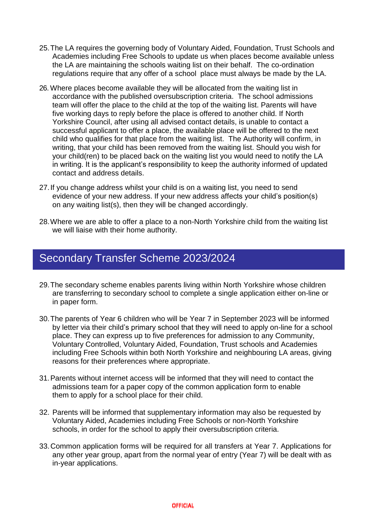- 25.The LA requires the governing body of Voluntary Aided, Foundation, Trust Schools and Academies including Free Schools to update us when places become available unless the LA are maintaining the schools waiting list on their behalf. The co-ordination regulations require that any offer of a school place must always be made by the LA.
- 26. Where places become available they will be allocated from the waiting list in accordance with the published oversubscription criteria. The school admissions team will offer the place to the child at the top of the waiting list. Parents will have five working days to reply before the place is offered to another child. If North Yorkshire Council, after using all advised contact details, is unable to contact a successful applicant to offer a place, the available place will be offered to the next child who qualifies for that place from the waiting list. The Authority will confirm, in writing, that your child has been removed from the waiting list. Should you wish for your child(ren) to be placed back on the waiting list you would need to notify the LA in writing. It is the applicant's responsibility to keep the authority informed of updated contact and address details.
- 27.If you change address whilst your child is on a waiting list, you need to send evidence of your new address. If your new address affects your child's position(s) on any waiting list(s), then they will be changed accordingly.
- 28.Where we are able to offer a place to a non-North Yorkshire child from the waiting list we will liaise with their home authority.

### Secondary Transfer Scheme 2023/2024

- 29.The secondary scheme enables parents living within North Yorkshire whose children are transferring to secondary school to complete a single application either on-line or in paper form.
- 30.The parents of Year 6 children who will be Year 7 in September 2023 will be informed by letter via their child's primary school that they will need to apply on-line for a school place. They can express up to five preferences for admission to any Community, Voluntary Controlled, Voluntary Aided, Foundation, Trust schools and Academies including Free Schools within both North Yorkshire and neighbouring LA areas, giving reasons for their preferences where appropriate.
- 31.Parents without internet access will be informed that they will need to contact the admissions team for a paper copy of the common application form to enable them to apply for a school place for their child.
- 32. Parents will be informed that supplementary information may also be requested by Voluntary Aided, Academies including Free Schools or non-North Yorkshire schools, in order for the school to apply their oversubscription criteria.
- 33.Common application forms will be required for all transfers at Year 7. Applications for any other year group, apart from the normal year of entry (Year 7) will be dealt with as in-year applications.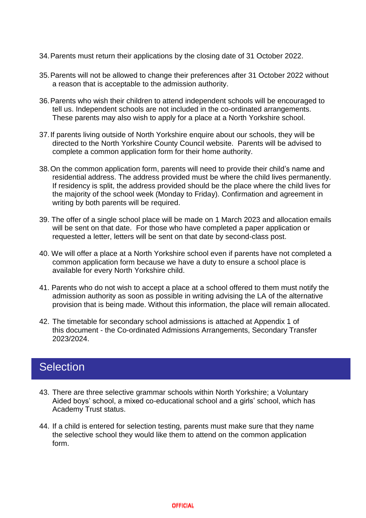- 34.Parents must return their applications by the closing date of 31 October 2022.
- 35.Parents will not be allowed to change their preferences after 31 October 2022 without a reason that is acceptable to the admission authority.
- 36.Parents who wish their children to attend independent schools will be encouraged to tell us. Independent schools are not included in the co-ordinated arrangements. These parents may also wish to apply for a place at a North Yorkshire school.
- 37.If parents living outside of North Yorkshire enquire about our schools, they will be directed to the North Yorkshire County Council website. Parents will be advised to complete a common application form for their home authority.
- 38.On the common application form, parents will need to provide their child's name and residential address. The address provided must be where the child lives permanently. If residency is split, the address provided should be the place where the child lives for the majority of the school week (Monday to Friday). Confirmation and agreement in writing by both parents will be required.
- 39. The offer of a single school place will be made on 1 March 2023 and allocation emails will be sent on that date. For those who have completed a paper application or requested a letter, letters will be sent on that date by second-class post.
- 40. We will offer a place at a North Yorkshire school even if parents have not completed a common application form because we have a duty to ensure a school place is available for every North Yorkshire child.
- 41. Parents who do not wish to accept a place at a school offered to them must notify the admission authority as soon as possible in writing advising the LA of the alternative provision that is being made. Without this information, the place will remain allocated.
- 42. The timetable for secondary school admissions is attached at Appendix 1 of this document - the Co-ordinated Admissions Arrangements, Secondary Transfer 2023/2024.

### **Selection**

- 43. There are three selective grammar schools within North Yorkshire; a Voluntary Aided boys' school, a mixed co-educational school and a girls' school, which has Academy Trust status.
- 44. If a child is entered for selection testing, parents must make sure that they name the selective school they would like them to attend on the common application form.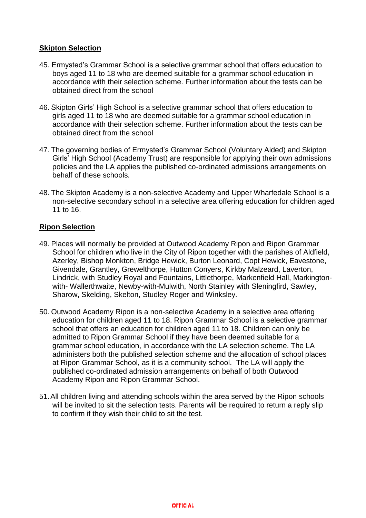#### **Skipton Selection**

- 45. Ermysted's Grammar School is a selective grammar school that offers education to boys aged 11 to 18 who are deemed suitable for a grammar school education in accordance with their selection scheme. Further information about the tests can be obtained direct from the school
- 46. Skipton Girls' High School is a selective grammar school that offers education to girls aged 11 to 18 who are deemed suitable for a grammar school education in accordance with their selection scheme. Further information about the tests can be obtained direct from the school
- 47. The governing bodies of Ermysted's Grammar School (Voluntary Aided) and Skipton Girls' High School (Academy Trust) are responsible for applying their own admissions policies and the LA applies the published co-ordinated admissions arrangements on behalf of these schools.
- 48. The Skipton Academy is a non-selective Academy and Upper Wharfedale School is a non-selective secondary school in a selective area offering education for children aged 11 to 16.

#### **Ripon Selection**

- 49. Places will normally be provided at Outwood Academy Ripon and Ripon Grammar School for children who live in the City of Ripon together with the parishes of Aldfield, Azerley, Bishop Monkton, Bridge Hewick, Burton Leonard, Copt Hewick, Eavestone, Givendale, Grantley, Grewelthorpe, Hutton Conyers, Kirkby Malzeard, Laverton, Lindrick, with Studley Royal and Fountains, Littlethorpe, Markenfield Hall, Markingtonwith- Wallerthwaite, Newby-with-Mulwith, North Stainley with Sleningfird, Sawley, Sharow, Skelding, Skelton, Studley Roger and Winksley.
- 50. Outwood Academy Ripon is a non-selective Academy in a selective area offering education for children aged 11 to 18. Ripon Grammar School is a selective grammar school that offers an education for children aged 11 to 18. Children can only be admitted to Ripon Grammar School if they have been deemed suitable for a grammar school education, in accordance with the LA selection scheme. The LA administers both the published selection scheme and the allocation of school places at Ripon Grammar School, as it is a community school. The LA will apply the published co-ordinated admission arrangements on behalf of both Outwood Academy Ripon and Ripon Grammar School.
- 51.All children living and attending schools within the area served by the Ripon schools will be invited to sit the selection tests. Parents will be required to return a reply slip to confirm if they wish their child to sit the test.

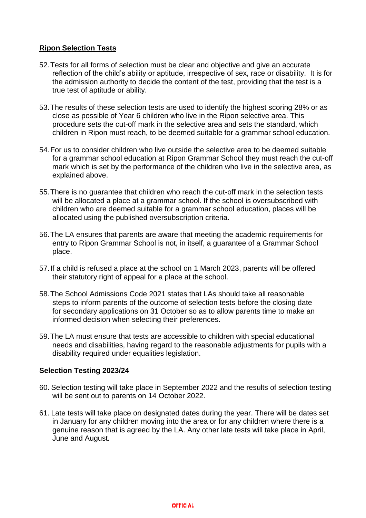#### **Ripon Selection Tests**

- 52.Tests for all forms of selection must be clear and objective and give an accurate reflection of the child's ability or aptitude, irrespective of sex, race or disability. It is for the admission authority to decide the content of the test, providing that the test is a true test of aptitude or ability.
- 53.The results of these selection tests are used to identify the highest scoring 28% or as close as possible of Year 6 children who live in the Ripon selective area. This procedure sets the cut-off mark in the selective area and sets the standard, which children in Ripon must reach, to be deemed suitable for a grammar school education.
- 54.For us to consider children who live outside the selective area to be deemed suitable for a grammar school education at Ripon Grammar School they must reach the cut-off mark which is set by the performance of the children who live in the selective area, as explained above.
- 55.There is no guarantee that children who reach the cut-off mark in the selection tests will be allocated a place at a grammar school. If the school is oversubscribed with children who are deemed suitable for a grammar school education, places will be allocated using the published oversubscription criteria.
- 56.The LA ensures that parents are aware that meeting the academic requirements for entry to Ripon Grammar School is not, in itself, a guarantee of a Grammar School place.
- 57.If a child is refused a place at the school on 1 March 2023, parents will be offered their statutory right of appeal for a place at the school.
- 58.The School Admissions Code 2021 states that LAs should take all reasonable steps to inform parents of the outcome of selection tests before the closing date for secondary applications on 31 October so as to allow parents time to make an informed decision when selecting their preferences.
- 59.The LA must ensure that tests are accessible to children with special educational needs and disabilities, having regard to the reasonable adjustments for pupils with a disability required under equalities legislation.

#### **Selection Testing 2023/24**

- 60. Selection testing will take place in September 2022 and the results of selection testing will be sent out to parents on 14 October 2022.
- 61. Late tests will take place on designated dates during the year. There will be dates set in January for any children moving into the area or for any children where there is a genuine reason that is agreed by the LA. Any other late tests will take place in April, June and August.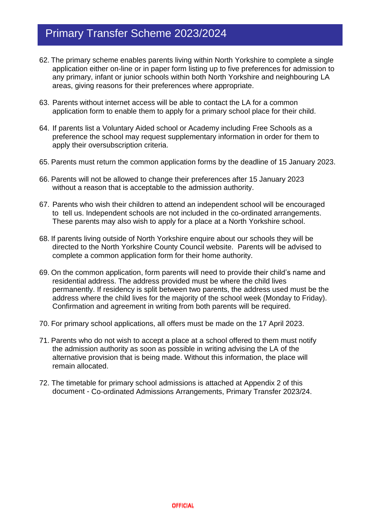# Primary Transfer Scheme 2023/2024

- 62. The primary scheme enables parents living within North Yorkshire to complete a single application either on-line or in paper form listing up to five preferences for admission to any primary, infant or junior schools within both North Yorkshire and neighbouring LA areas, giving reasons for their preferences where appropriate.
- 63. Parents without internet access will be able to contact the LA for a common application form to enable them to apply for a primary school place for their child.
- 64. If parents list a Voluntary Aided school or Academy including Free Schools as a preference the school may request supplementary information in order for them to apply their oversubscription criteria.
- 65. Parents must return the common application forms by the deadline of 15 January 2023.
- 66. Parents will not be allowed to change their preferences after 15 January 2023 without a reason that is acceptable to the admission authority.
- 67. Parents who wish their children to attend an independent school will be encouraged to tell us. Independent schools are not included in the co-ordinated arrangements. These parents may also wish to apply for a place at a North Yorkshire school.
- 68. If parents living outside of North Yorkshire enquire about our schools they will be directed to the North Yorkshire County Council website. Parents will be advised to complete a common application form for their home authority.
- 69. On the common application, form parents will need to provide their child's name and residential address. The address provided must be where the child lives permanently. If residency is split between two parents, the address used must be the address where the child lives for the majority of the school week (Monday to Friday). Confirmation and agreement in writing from both parents will be required.
- 70. For primary school applications, all offers must be made on the 17 April 2023.
- 71. Parents who do not wish to accept a place at a school offered to them must notify the admission authority as soon as possible in writing advising the LA of the alternative provision that is being made. Without this information, the place will remain allocated.
- 72. The timetable for primary school admissions is attached at Appendix 2 of this document - Co-ordinated Admissions Arrangements, Primary Transfer 2023/24.

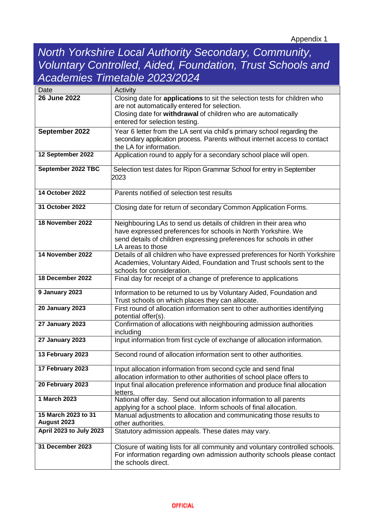# *North Yorkshire Local Authority Secondary, Community, Voluntary Controlled, Aided, Foundation, Trust Schools and Academies Timetable 2023/2024*

| Date                               | Activity                                                                                           |
|------------------------------------|----------------------------------------------------------------------------------------------------|
| 26 June 2022                       | Closing date for applications to sit the selection tests for children who                          |
|                                    | are not automatically entered for selection.                                                       |
|                                    | Closing date for withdrawal of children who are automatically                                      |
|                                    | entered for selection testing.                                                                     |
| September 2022                     | Year 6 letter from the LA sent via child's primary school regarding the                            |
|                                    | secondary application process. Parents without internet access to contact                          |
|                                    | the LA for information.                                                                            |
| 12 September 2022                  | Application round to apply for a secondary school place will open.                                 |
| September 2022 TBC                 | Selection test dates for Ripon Grammar School for entry in September                               |
|                                    | 2023                                                                                               |
|                                    |                                                                                                    |
| 14 October 2022                    | Parents notified of selection test results                                                         |
|                                    |                                                                                                    |
| 31 October 2022                    | Closing date for return of secondary Common Application Forms.                                     |
|                                    |                                                                                                    |
| 18 November 2022                   | Neighbouring LAs to send us details of children in their area who                                  |
|                                    | have expressed preferences for schools in North Yorkshire. We                                      |
|                                    | send details of children expressing preferences for schools in other                               |
| 14 November 2022                   | LA areas to those                                                                                  |
|                                    | Details of all children who have expressed preferences for North Yorkshire                         |
|                                    | Academies, Voluntary Aided, Foundation and Trust schools sent to the<br>schools for consideration. |
| 18 December 2022                   | Final day for receipt of a change of preference to applications                                    |
|                                    |                                                                                                    |
| 9 January 2023                     | Information to be returned to us by Voluntary Aided, Foundation and                                |
|                                    | Trust schools on which places they can allocate.                                                   |
| <b>20 January 2023</b>             | First round of allocation information sent to other authorities identifying                        |
|                                    | potential offer(s).                                                                                |
| <b>27 January 2023</b>             | Confirmation of allocations with neighbouring admission authorities                                |
|                                    | including                                                                                          |
| <b>27 January 2023</b>             | Input information from first cycle of exchange of allocation information.                          |
| 13 February 2023                   | Second round of allocation information sent to other authorities.                                  |
|                                    |                                                                                                    |
| 17 February 2023                   | Input allocation information from second cycle and send final                                      |
|                                    | allocation information to other authorities of school place offers to                              |
| 20 February 2023                   | Input final allocation preference information and produce final allocation                         |
|                                    | letters.                                                                                           |
| 1 March 2023                       | National offer day. Send out allocation information to all parents                                 |
|                                    | applying for a school place. Inform schools of final allocation.                                   |
| 15 March 2023 to 31<br>August 2023 | Manual adjustments to allocation and communicating those results to                                |
|                                    | other authorities.                                                                                 |
| April 2023 to July 2023            | Statutory admission appeals. These dates may vary.                                                 |
| 31 December 2023                   | Closure of waiting lists for all community and voluntary controlled schools.                       |
|                                    | For information regarding own admission authority schools please contact                           |
|                                    | the schools direct.                                                                                |
|                                    |                                                                                                    |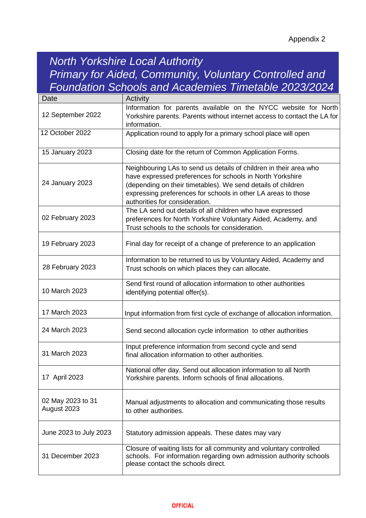# *North Yorkshire Local Authority Primary for Aided, Community, Voluntary Controlled and Foundation Schools and Academies Timetable 2023/2024*

| Date                             | Activity                                                                                                                                                                                                                                                                                          |
|----------------------------------|---------------------------------------------------------------------------------------------------------------------------------------------------------------------------------------------------------------------------------------------------------------------------------------------------|
| 12 September 2022                | Information for parents available on the NYCC website for North<br>Yorkshire parents. Parents without internet access to contact the LA for<br>information.                                                                                                                                       |
| 12 October 2022                  | Application round to apply for a primary school place will open                                                                                                                                                                                                                                   |
| 15 January 2023                  | Closing date for the return of Common Application Forms.                                                                                                                                                                                                                                          |
| 24 January 2023                  | Neighbouring LAs to send us details of children in their area who<br>have expressed preferences for schools in North Yorkshire<br>(depending on their timetables). We send details of children<br>expressing preferences for schools in other LA areas to those<br>authorities for consideration. |
| 02 February 2023                 | The LA send out details of all children who have expressed<br>preferences for North Yorkshire Voluntary Aided, Academy, and<br>Trust schools to the schools for consideration.                                                                                                                    |
| 19 February 2023                 | Final day for receipt of a change of preference to an application                                                                                                                                                                                                                                 |
| 28 February 2023                 | Information to be returned to us by Voluntary Aided, Academy and<br>Trust schools on which places they can allocate.                                                                                                                                                                              |
| 10 March 2023                    | Send first round of allocation information to other authorities<br>identifying potential offer(s).                                                                                                                                                                                                |
| 17 March 2023                    | Input information from first cycle of exchange of allocation information.                                                                                                                                                                                                                         |
| 24 March 2023                    | Send second allocation cycle information to other authorities                                                                                                                                                                                                                                     |
| 31 March 2023                    | Input preference information from second cycle and send<br>final allocation information to other authorities.                                                                                                                                                                                     |
| 17 April 2023                    | National offer day. Send out allocation information to all North<br>Yorkshire parents. Inform schools of final allocations.                                                                                                                                                                       |
| 02 May 2023 to 31<br>August 2023 | Manual adjustments to allocation and communicating those results<br>to other authorities.                                                                                                                                                                                                         |
| June 2023 to July 2023           | Statutory admission appeals. These dates may vary                                                                                                                                                                                                                                                 |
| 31 December 2023                 | Closure of waiting lists for all community and voluntary controlled<br>schools. For information regarding own admission authority schools<br>please contact the schools direct.                                                                                                                   |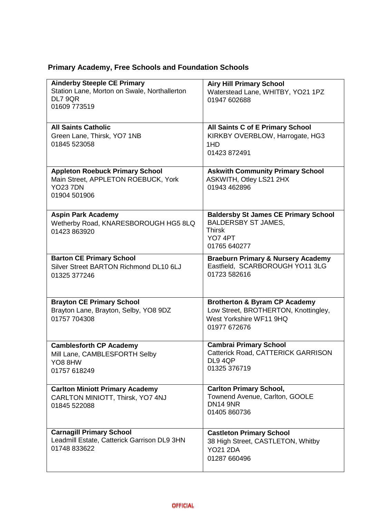### **Primary Academy, Free Schools and Foundation Schools**

| <b>Ainderby Steeple CE Primary</b><br>Station Lane, Morton on Swale, Northallerton<br>DL7 9QR<br>01609 773519    | <b>Airy Hill Primary School</b><br>Waterstead Lane, WHITBY, YO21 1PZ<br>01947 602688                                         |
|------------------------------------------------------------------------------------------------------------------|------------------------------------------------------------------------------------------------------------------------------|
| <b>All Saints Catholic</b><br>Green Lane, Thirsk, YO7 1NB<br>01845 523058                                        | <b>All Saints C of E Primary School</b><br>KIRKBY OVERBLOW, Harrogate, HG3<br>1HD<br>01423 872491                            |
| <b>Appleton Roebuck Primary School</b><br>Main Street, APPLETON ROEBUCK, York<br><b>YO23 7DN</b><br>01904 501906 | <b>Askwith Community Primary School</b><br>ASKWITH, Otley LS21 2HX<br>01943 462896                                           |
| <b>Aspin Park Academy</b><br>Wetherby Road, KNARESBOROUGH HG5 8LQ<br>01423 863920                                | <b>Baldersby St James CE Primary School</b><br><b>BALDERSBY ST JAMES,</b><br><b>Thirsk</b><br><b>YO7 4PT</b><br>01765 640277 |
| <b>Barton CE Primary School</b><br>Silver Street BARTON Richmond DL10 6LJ<br>01325 377246                        | <b>Braeburn Primary &amp; Nursery Academy</b><br>Eastfield, SCARBOROUGH YO11 3LG<br>01723 582616                             |
| <b>Brayton CE Primary School</b><br>Brayton Lane, Brayton, Selby, YO8 9DZ<br>01757 704308                        | <b>Brotherton &amp; Byram CP Academy</b><br>Low Street, BROTHERTON, Knottingley,<br>West Yorkshire WF11 9HQ<br>01977 672676  |
| <b>Camblesforth CP Academy</b><br>Mill Lane, CAMBLESFORTH Selby<br>YO8 8HW<br>01757 618249                       | <b>Cambrai Primary School</b><br>Catterick Road, CATTERICK GARRISON<br>DL9 4QP<br>01325 376719                               |
| <b>Carlton Miniott Primary Academy</b><br>CARLTON MINIOTT, Thirsk, YO7 4NJ<br>01845 522088                       | <b>Carlton Primary School,</b><br>Townend Avenue, Carlton, GOOLE<br><b>DN14 9NR</b><br>01405 860736                          |
| <b>Carnagill Primary School</b><br>Leadmill Estate, Catterick Garrison DL9 3HN<br>01748 833622                   | <b>Castleton Primary School</b><br>38 High Street, CASTLETON, Whitby<br><b>YO21 2DA</b><br>01287 660496                      |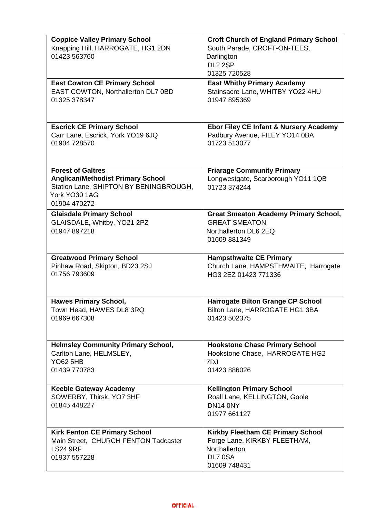| <b>Coppice Valley Primary School</b><br>Knapping Hill, HARROGATE, HG1 2DN<br>01423 563760                                                       | <b>Croft Church of England Primary School</b><br>South Parade, CROFT-ON-TEES,<br>Darlington<br>DL <sub>2</sub> 2SP<br>01325 720528 |
|-------------------------------------------------------------------------------------------------------------------------------------------------|------------------------------------------------------------------------------------------------------------------------------------|
| <b>East Cowton CE Primary School</b>                                                                                                            | <b>East Whitby Primary Academy</b>                                                                                                 |
| EAST COWTON, Northallerton DL7 0BD                                                                                                              | Stainsacre Lane, WHITBY YO22 4HU                                                                                                   |
| 01325 378347                                                                                                                                    | 01947 895369                                                                                                                       |
| <b>Escrick CE Primary School</b>                                                                                                                | Ebor Filey CE Infant & Nursery Academy                                                                                             |
| Carr Lane, Escrick, York YO19 6JQ                                                                                                               | Padbury Avenue, FILEY YO14 0BA                                                                                                     |
| 01904 728570                                                                                                                                    | 01723 513077                                                                                                                       |
| <b>Forest of Galtres</b><br><b>Anglican/Methodist Primary School</b><br>Station Lane, SHIPTON BY BENINGBROUGH,<br>York YO30 1AG<br>01904 470272 | <b>Friarage Community Primary</b><br>Longwestgate, Scarborough YO11 1QB<br>01723 374244                                            |
| <b>Glaisdale Primary School</b><br>GLAISDALE, Whitby, YO21 2PZ<br>01947 897218                                                                  | <b>Great Smeaton Academy Primary School,</b><br><b>GREAT SMEATON,</b><br>Northallerton DL6 2EQ<br>01609 881349                     |
| <b>Greatwood Primary School</b>                                                                                                                 | <b>Hampsthwaite CE Primary</b>                                                                                                     |
| Pinhaw Road, Skipton, BD23 2SJ                                                                                                                  | Church Lane, HAMPSTHWAITE, Harrogate                                                                                               |
| 01756 793609                                                                                                                                    | HG3 2EZ 01423 771336                                                                                                               |
| <b>Hawes Primary School,</b>                                                                                                                    | <b>Harrogate Bilton Grange CP School</b>                                                                                           |
| Town Head, HAWES DL8 3RQ                                                                                                                        | Bilton Lane, HARROGATE HG1 3BA                                                                                                     |
| 01969 667308                                                                                                                                    | 01423 502375                                                                                                                       |
| <b>Helmsley Community Primary School,</b>                                                                                                       | <b>Hookstone Chase Primary School</b>                                                                                              |
| Carlton Lane, HELMSLEY,                                                                                                                         | Hookstone Chase, HARROGATE HG2                                                                                                     |
| <b>YO62 5HB</b>                                                                                                                                 | 7DJ                                                                                                                                |
| 01439 770783                                                                                                                                    | 01423 886026                                                                                                                       |
| <b>Keeble Gateway Academy</b><br>SOWERBY, Thirsk, YO7 3HF<br>01845 448227                                                                       | <b>Kellington Primary School</b><br>Roall Lane, KELLINGTON, Goole<br>DN14 0NY<br>01977 661127                                      |
| <b>Kirk Fenton CE Primary School</b><br>Main Street, CHURCH FENTON Tadcaster<br><b>LS24 9RF</b><br>01937 557228                                 | Kirkby Fleetham CE Primary School<br>Forge Lane, KIRKBY FLEETHAM,<br>Northallerton<br>DL7 0SA<br>01609 748431                      |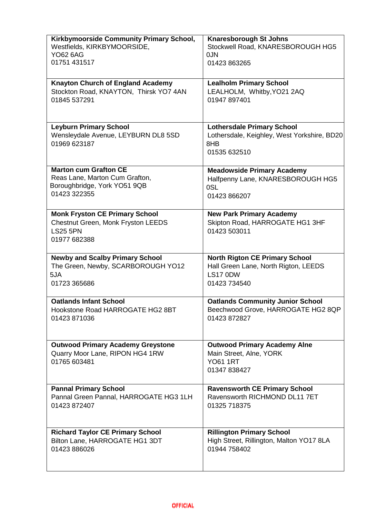| Kirkbymoorside Community Primary School, | <b>Knaresborough St Johns</b>               |
|------------------------------------------|---------------------------------------------|
| Westfields, KIRKBYMOORSIDE,              | Stockwell Road, KNARESBOROUGH HG5           |
| <b>YO62 6AG</b>                          | 0JN                                         |
| 01751 431517                             | 01423 863265                                |
|                                          |                                             |
| <b>Knayton Church of England Academy</b> | <b>Lealholm Primary School</b>              |
| Stockton Road, KNAYTON, Thirsk YO7 4AN   | LEALHOLM, Whitby, YO21 2AQ                  |
| 01845 537291                             | 01947 897401                                |
|                                          |                                             |
|                                          |                                             |
|                                          |                                             |
| <b>Leyburn Primary School</b>            | <b>Lothersdale Primary School</b>           |
| Wensleydale Avenue, LEYBURN DL8 5SD      | Lothersdale, Keighley, West Yorkshire, BD20 |
| 01969 623187                             | 8HB                                         |
|                                          | 01535 632510                                |
|                                          |                                             |
| <b>Marton cum Grafton CE</b>             | <b>Meadowside Primary Academy</b>           |
| Reas Lane, Marton Cum Grafton,           | Halfpenny Lane, KNARESBOROUGH HG5           |
| Boroughbridge, York YO51 9QB             | 0SL                                         |
| 01423 322355                             | 01423 866207                                |
|                                          |                                             |
| <b>Monk Fryston CE Primary School</b>    | <b>New Park Primary Academy</b>             |
| Chestnut Green, Monk Fryston LEEDS       | Skipton Road, HARROGATE HG1 3HF             |
| <b>LS25 5PN</b>                          | 01423 503011                                |
| 01977 682388                             |                                             |
|                                          |                                             |
| <b>Newby and Scalby Primary School</b>   | <b>North Rigton CE Primary School</b>       |
|                                          |                                             |
|                                          |                                             |
| The Green, Newby, SCARBOROUGH YO12       | Hall Green Lane, North Rigton, LEEDS        |
| 5JA                                      | <b>LS17 0DW</b>                             |
| 01723 365686                             | 01423 734540                                |
|                                          |                                             |
| <b>Oatlands Infant School</b>            | <b>Oatlands Community Junior School</b>     |
| Hookstone Road HARROGATE HG2 8BT         | Beechwood Grove, HARROGATE HG2 8QP          |
| 01423 871036                             | 01423 872827                                |
|                                          |                                             |
|                                          |                                             |
| <b>Outwood Primary Academy Greystone</b> | <b>Outwood Primary Academy Alne</b>         |
| Quarry Moor Lane, RIPON HG4 1RW          | Main Street, Alne, YORK                     |
| 01765 603481                             | <b>YO61 1RT</b>                             |
|                                          | 01347 838427                                |
|                                          |                                             |
| <b>Pannal Primary School</b>             | <b>Ravensworth CE Primary School</b>        |
| Pannal Green Pannal, HARROGATE HG3 1LH   | Ravensworth RICHMOND DL11 7ET               |
| 01423 872407                             | 01325 718375                                |
|                                          |                                             |
|                                          |                                             |
| <b>Richard Taylor CE Primary School</b>  | <b>Rillington Primary School</b>            |
| Bilton Lane, HARROGATE HG1 3DT           | High Street, Rillington, Malton YO17 8LA    |
| 01423 886026                             | 01944 758402                                |
|                                          |                                             |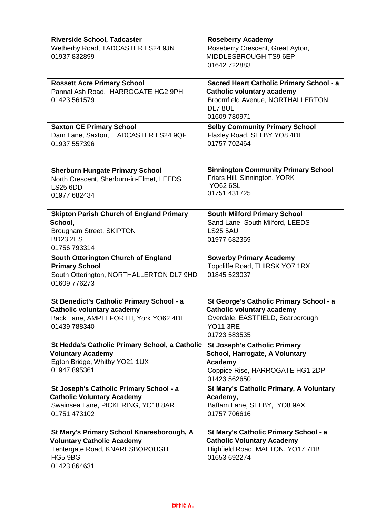| <b>Riverside School, Tadcaster</b><br>Wetherby Road, TADCASTER LS24 9JN<br>01937 832899                                                | <b>Roseberry Academy</b><br>Roseberry Crescent, Great Ayton,<br>MIDDLESBROUGH TS9 6EP<br>01642 722883                                               |
|----------------------------------------------------------------------------------------------------------------------------------------|-----------------------------------------------------------------------------------------------------------------------------------------------------|
| <b>Rossett Acre Primary School</b><br>Pannal Ash Road, HARROGATE HG2 9PH<br>01423 561579                                               | Sacred Heart Catholic Primary School - a<br><b>Catholic voluntary academy</b><br><b>Broomfield Avenue, NORTHALLERTON</b><br>DL7 8UL<br>01609 780971 |
| <b>Saxton CE Primary School</b><br>Dam Lane, Saxton, TADCASTER LS24 9QF<br>01937 557396                                                | <b>Selby Community Primary School</b><br>Flaxley Road, SELBY YO8 4DL<br>01757 702464                                                                |
| <b>Sherburn Hungate Primary School</b><br>North Crescent, Sherburn-in-Elmet, LEEDS<br><b>LS25 6DD</b><br>01977 682434                  | <b>Sinnington Community Primary School</b><br>Friars Hill, Sinnington, YORK<br><b>YO62 6SL</b><br>01751 431725                                      |
| <b>Skipton Parish Church of England Primary</b><br>School,<br>Brougham Street, SKIPTON<br><b>BD23 2ES</b><br>01756 793314              | <b>South Milford Primary School</b><br>Sand Lane, South Milford, LEEDS<br><b>LS25 5AU</b><br>01977 682359                                           |
| South Otterington Church of England<br><b>Primary School</b><br>South Otterington, NORTHALLERTON DL7 9HD<br>01609 776273               | <b>Sowerby Primary Academy</b><br>Topcliffe Road, THIRSK YO7 1RX<br>01845 523037                                                                    |
| St Benedict's Catholic Primary School - a<br><b>Catholic voluntary academy</b><br>Back Lane, AMPLEFORTH, York YO62 4DE<br>01439 788340 | St George's Catholic Primary School - a<br><b>Catholic voluntary academy</b><br>Overdale, EASTFIELD, Scarborough<br><b>YO11 3RE</b><br>01723 583535 |
| St Hedda's Catholic Primary School, a Catholic<br><b>Voluntary Academy</b><br>Egton Bridge, Whitby YO21 1UX<br>01947 895361            | <b>St Joseph's Catholic Primary</b><br>School, Harrogate, A Voluntary<br>Academy<br>Coppice Rise, HARROGATE HG1 2DP<br>01423 562650                 |
| St Joseph's Catholic Primary School - a<br><b>Catholic Voluntary Academy</b><br>Swainsea Lane, PICKERING, YO18 8AR<br>01751 473102     | <b>St Mary's Catholic Primary, A Voluntary</b><br>Academy,<br>Baffam Lane, SELBY, YO8 9AX<br>01757 706616                                           |
| St Mary's Primary School Knaresborough, A<br><b>Voluntary Catholic Academy</b><br>Tentergate Road, KNARESBOROUGH<br>HG5 9BG            | St Mary's Catholic Primary School - a<br><b>Catholic Voluntary Academy</b><br>Highfield Road, MALTON, YO17 7DB                                      |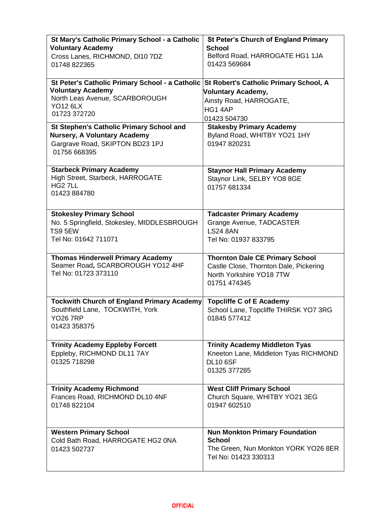| St Mary's Catholic Primary School - a Catholic<br><b>Voluntary Academy</b><br>Cross Lanes, RICHMOND, DI10 7DZ<br>01748 822365                    | <b>St Peter's Church of England Primary</b><br><b>School</b><br>Belford Road, HARROGATE HG1 1JA<br>01423 569684              |
|--------------------------------------------------------------------------------------------------------------------------------------------------|------------------------------------------------------------------------------------------------------------------------------|
| St Peter's Catholic Primary School - a Catholic<br><b>Voluntary Academy</b><br>North Leas Avenue, SCARBOROUGH<br><b>YO12 6LX</b><br>01723 372720 | St Robert's Catholic Primary School, A<br>Voluntary Academy,<br>Ainsty Road, HARROGATE,<br>HG1 4AP<br>01423 504730           |
| <b>St Stephen's Catholic Primary School and</b><br><b>Nursery, A Voluntary Academy</b><br>Gargrave Road, SKIPTON BD23 1PJ<br>01756 668395        | <b>Stakesby Primary Academy</b><br>Byland Road, WHITBY YO21 1HY<br>01947 820231                                              |
| <b>Starbeck Primary Academy</b><br>High Street, Starbeck, HARROGATE<br>HG <sub>2</sub> 7LL<br>01423 884780                                       | <b>Staynor Hall Primary Academy</b><br>Staynor Link, SELBY YO8 8GE<br>01757 681334                                           |
| <b>Stokesley Primary School</b><br>No. 5 Springfield, Stokesley, MIDDLESBROUGH<br>TS9 5EW<br>Tel No: 01642 711071                                | <b>Tadcaster Primary Academy</b><br>Grange Avenue, TADCASTER<br><b>LS24 8AN</b><br>Tel No: 01937 833795                      |
| <b>Thomas Hinderwell Primary Academy</b><br>Seamer Road, SCARBOROUGH YO12 4HF<br>Tel No: 01723 373110                                            | <b>Thornton Dale CE Primary School</b><br>Castle Close, Thornton Dale, Pickering<br>North Yorkshire YO18 7TW<br>01751 474345 |
| <b>Tockwith Church of England Primary Academy</b><br>Southfield Lane, TOCKWITH, York<br><b>YO26 7RP</b><br>01423 358375                          | <b>Topcliffe C of E Academy</b><br>School Lane, Topcliffe THIRSK YO7 3RG<br>01845 577412                                     |
| <b>Trinity Academy Eppleby Forcett</b><br>Eppleby, RICHMOND DL11 7AY<br>01325 718298                                                             | <b>Trinity Academy Middleton Tyas</b><br>Kneeton Lane, Middleton Tyas RICHMOND<br><b>DL10 6SF</b><br>01325 377285            |
| <b>Trinity Academy Richmond</b><br>Frances Road, RICHMOND DL10 4NF<br>01748 822104                                                               | <b>West Cliff Primary School</b><br>Church Square, WHITBY YO21 3EG<br>01947 602510                                           |
| <b>Western Primary School</b><br>Cold Bath Road, HARROGATE HG2 0NA<br>01423 502737                                                               | <b>Nun Monkton Primary Foundation</b><br><b>School</b><br>The Green, Nun Monkton YORK YO26 8ER<br>Tel No: 01423 330313       |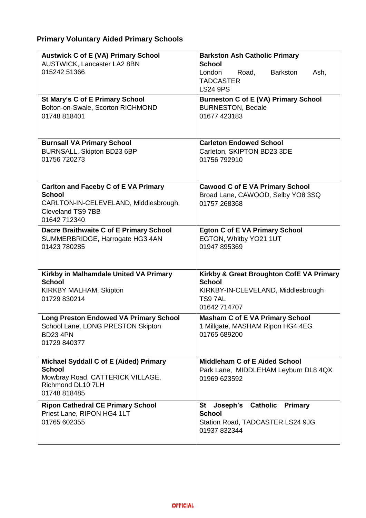### **Primary Voluntary Aided Primary Schools**

| <b>Austwick C of E (VA) Primary School</b><br>AUSTWICK, Lancaster LA2 8BN<br>015242 51366                                                  | <b>Barkston Ash Catholic Primary</b><br><b>School</b><br>London<br>Road,<br><b>Barkston</b><br>Ash,<br><b>TADCASTER</b><br><b>LS24 9PS</b> |
|--------------------------------------------------------------------------------------------------------------------------------------------|--------------------------------------------------------------------------------------------------------------------------------------------|
| <b>St Mary's C of E Primary School</b><br>Bolton-on-Swale, Scorton RICHMOND<br>01748 818401                                                | <b>Burneston C of E (VA) Primary School</b><br><b>BURNESTON, Bedale</b><br>01677 423183                                                    |
| <b>Burnsall VA Primary School</b><br>BURNSALL, Skipton BD23 6BP<br>01756 720273                                                            | <b>Carleton Endowed School</b><br>Carleton, SKIPTON BD23 3DE<br>01756 792910                                                               |
| <b>Carlton and Faceby C of E VA Primary</b><br><b>School</b><br>CARLTON-IN-CELEVELAND, Middlesbrough,<br>Cleveland TS9 7BB<br>01642 712340 | <b>Cawood C of E VA Primary School</b><br>Broad Lane, CAWOOD, Selby YO8 3SQ<br>01757 268368                                                |
| Dacre Braithwaite C of E Primary School<br>SUMMERBRIDGE, Harrogate HG3 4AN<br>01423 780285                                                 | <b>Egton C of E VA Primary School</b><br>EGTON, Whitby YO21 1UT<br>01947 895369                                                            |
| Kirkby in Malhamdale United VA Primary<br><b>School</b><br>KIRKBY MALHAM, Skipton<br>01729 830214                                          | Kirkby & Great Broughton CofE VA Primary<br><b>School</b><br>KIRKBY-IN-CLEVELAND, Middlesbrough<br>TS97AL<br>01642 714707                  |
| <b>Long Preston Endowed VA Primary School</b><br>School Lane, LONG PRESTON Skipton<br><b>BD23 4PN</b><br>01729 840377                      | <b>Masham C of E VA Primary School</b><br>1 Millgate, MASHAM Ripon HG4 4EG<br>01765 689200                                                 |
| Michael Syddall C of E (Aided) Primary<br><b>School</b><br>Mowbray Road, CATTERICK VILLAGE,<br>Richmond DL10 7LH<br>01748 818485           | <b>Middleham C of E Aided School</b><br>Park Lane, MIDDLEHAM Leyburn DL8 4QX<br>01969 623592                                               |
| <b>Ripon Cathedral CE Primary School</b><br>Priest Lane, RIPON HG4 1LT<br>01765 602355                                                     | Joseph's Catholic<br>Primary<br>St<br><b>School</b><br>Station Road, TADCASTER LS24 9JG<br>01937 832344                                    |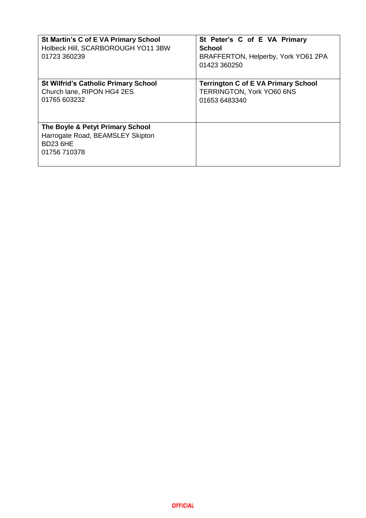| St Martin's C of E VA Primary School<br>Holbeck Hill, SCARBOROUGH YO11 3BW<br>01723 360239              | St Peter's C of E VA Primary<br><b>School</b><br>BRAFFERTON, Helperby, York YO61 2PA<br>01423 360250 |
|---------------------------------------------------------------------------------------------------------|------------------------------------------------------------------------------------------------------|
| <b>St Wilfrid's Catholic Primary School</b><br>Church lane, RIPON HG4 2ES<br>01765 603232               | <b>Terrington C of E VA Primary School</b><br>TERRINGTON, York YO60 6NS<br>01653 6483340             |
| The Boyle & Petyt Primary School<br>Harrogate Road, BEAMSLEY Skipton<br><b>BD23 6HE</b><br>01756 710378 |                                                                                                      |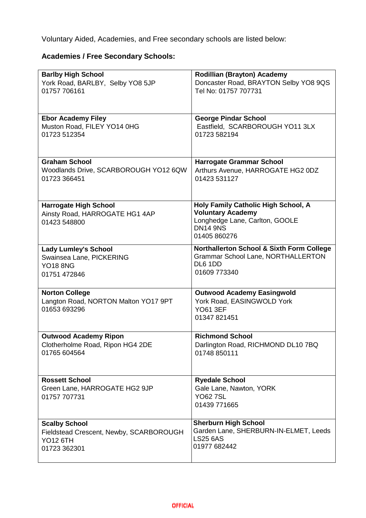Voluntary Aided, Academies, and Free secondary schools are listed below:

### **Academies / Free Secondary Schools:**

| <b>Barlby High School</b><br>York Road, BARLBY, Selby YO8 5JP  | <b>Rodillian (Brayton) Academy</b><br>Doncaster Road, BRAYTON Selby YO8 9QS                       |
|----------------------------------------------------------------|---------------------------------------------------------------------------------------------------|
| 01757 706161                                                   | Tel No: 01757 707731                                                                              |
| <b>Ebor Academy Filey</b><br>Muston Road, FILEY YO14 0HG       | <b>George Pindar School</b><br>Eastfield, SCARBOROUGH YO11 3LX                                    |
| 01723 512354                                                   | 01723 582194                                                                                      |
| <b>Graham School</b>                                           | <b>Harrogate Grammar School</b>                                                                   |
| Woodlands Drive, SCARBOROUGH YO12 6QW<br>01723 366451          | Arthurs Avenue, HARROGATE HG2 0DZ<br>01423 531127                                                 |
| <b>Harrogate High School</b><br>Ainsty Road, HARROGATE HG1 4AP | Holy Family Catholic High School, A<br><b>Voluntary Academy</b>                                   |
| 01423 548800                                                   | Longhedge Lane, Carlton, GOOLE<br><b>DN14 9NS</b>                                                 |
|                                                                | 01405 860276                                                                                      |
| <b>Lady Lumley's School</b><br>Swainsea Lane, PICKERING        | <b>Northallerton School &amp; Sixth Form College</b><br><b>Grammar School Lane, NORTHALLERTON</b> |
| <b>YO18 8NG</b>                                                | DL6 1DD                                                                                           |
| 01751 472846                                                   | 01609 773340                                                                                      |
| <b>Norton College</b>                                          | <b>Outwood Academy Easingwold</b>                                                                 |
| Langton Road, NORTON Malton YO17 9PT<br>01653 693296           | York Road, EASINGWOLD York<br><b>YO61 3EF</b>                                                     |
|                                                                | 01347 821451                                                                                      |
| <b>Outwood Academy Ripon</b>                                   | <b>Richmond School</b>                                                                            |
| Clotherholme Road, Ripon HG4 2DE<br>01765 604564               | Darlington Road, RICHMOND DL10 7BQ<br>01748 850111                                                |
|                                                                |                                                                                                   |
| <b>Rossett School</b>                                          | <b>Ryedale School</b>                                                                             |
| Green Lane, HARROGATE HG2 9JP<br>01757 707731                  | Gale Lane, Nawton, YORK<br><b>YO627SL</b>                                                         |
|                                                                | 01439 771665                                                                                      |
| <b>Scalby School</b>                                           | <b>Sherburn High School</b><br>Garden Lane, SHERBURN-IN-ELMET, Leeds                              |
| Fieldstead Crescent, Newby, SCARBOROUGH<br><b>YO12 6TH</b>     | <b>LS25 6AS</b>                                                                                   |
| 01723 362301                                                   | 01977 682442                                                                                      |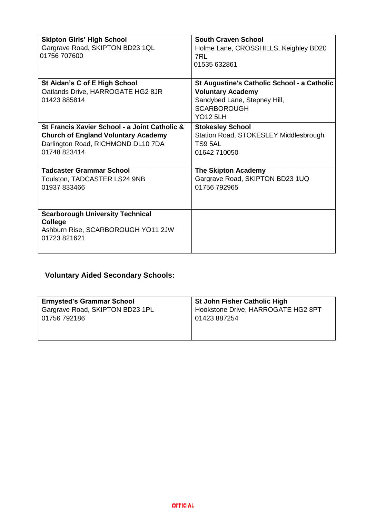| <b>Skipton Girls' High School</b><br>Gargrave Road, SKIPTON BD23 1QL<br>01756 707600                                                              | <b>South Craven School</b><br>Holme Lane, CROSSHILLS, Keighley BD20<br>7RL<br>01535 632861                                                       |
|---------------------------------------------------------------------------------------------------------------------------------------------------|--------------------------------------------------------------------------------------------------------------------------------------------------|
| St Aidan's C of E High School<br>Oatlands Drive, HARROGATE HG2 8JR<br>01423 885814                                                                | St Augustine's Catholic School - a Catholic<br><b>Voluntary Academy</b><br>Sandybed Lane, Stepney Hill,<br><b>SCARBOROUGH</b><br><b>YO12 5LH</b> |
| St Francis Xavier School - a Joint Catholic &<br><b>Church of England Voluntary Academy</b><br>Darlington Road, RICHMOND DL10 7DA<br>01748 823414 | <b>Stokesley School</b><br>Station Road, STOKESLEY Middlesbrough<br>TS9 5AL<br>01642 710050                                                      |
| <b>Tadcaster Grammar School</b><br>Toulston, TADCASTER LS24 9NB<br>01937 833466                                                                   | <b>The Skipton Academy</b><br>Gargrave Road, SKIPTON BD23 1UQ<br>01756 792965                                                                    |
| <b>Scarborough University Technical</b><br><b>College</b><br>Ashburn Rise, SCARBOROUGH YO11 2JW<br>01723 821621                                   |                                                                                                                                                  |

### **Voluntary Aided Secondary Schools:**

| <b>Ermysted's Grammar School</b> | <b>St John Fisher Catholic High</b> |
|----------------------------------|-------------------------------------|
| Gargrave Road, SKIPTON BD23 1PL  | Hookstone Drive, HARROGATE HG2 8PT  |
| 01756 792186                     | 01423 887254                        |
|                                  |                                     |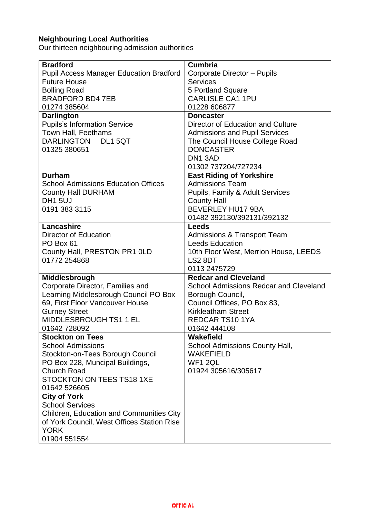#### **Neighbouring Local Authorities**

Our thirteen neighbouring admission authorities

| <b>Bradford</b>                                 | <b>Cumbria</b>                                |
|-------------------------------------------------|-----------------------------------------------|
| <b>Pupil Access Manager Education Bradford</b>  | Corporate Director - Pupils                   |
| <b>Future House</b>                             | <b>Services</b>                               |
| <b>Bolling Road</b>                             | 5 Portland Square                             |
| <b>BRADFORD BD4 7EB</b>                         | <b>CARLISLE CA1 1PU</b>                       |
| 01274 385604                                    | 01228 606877                                  |
| <b>Darlington</b>                               | <b>Doncaster</b>                              |
| <b>Pupils's Information Service</b>             | Director of Education and Culture             |
| Town Hall, Feethams                             | <b>Admissions and Pupil Services</b>          |
| <b>DARLINGTON</b><br>DL1 5QT                    | The Council House College Road                |
| 01325 380651                                    | <b>DONCASTER</b>                              |
|                                                 | DN1 3AD                                       |
|                                                 | 01302 737204/727234                           |
| <b>Durham</b>                                   | <b>East Riding of Yorkshire</b>               |
| <b>School Admissions Education Offices</b>      | <b>Admissions Team</b>                        |
| <b>County Hall DURHAM</b>                       | Pupils, Family & Adult Services               |
| <b>DH1 5UJ</b>                                  | <b>County Hall</b>                            |
| 0191 383 3115                                   | <b>BEVERLEY HU17 9BA</b>                      |
|                                                 | 01482 392130/392131/392132                    |
| Lancashire                                      | <b>Leeds</b>                                  |
| Director of Education                           | <b>Admissions &amp; Transport Team</b>        |
| PO Box 61                                       | <b>Leeds Education</b>                        |
| County Hall, PRESTON PR1 OLD                    | 10th Floor West, Merrion House, LEEDS         |
| 01772 254868                                    | LS2 8DT                                       |
|                                                 | 0113 2475729                                  |
| Middlesbrough                                   | <b>Redcar and Cleveland</b>                   |
| Corporate Director, Families and                | <b>School Admissions Redcar and Cleveland</b> |
| Learning Middlesbrough Council PO Box           | Borough Council,                              |
| 69, First Floor Vancouver House                 | Council Offices, PO Box 83,                   |
| <b>Gurney Street</b>                            | <b>Kirkleatham Street</b>                     |
| MIDDLESBROUGH TS1 1 EL                          | <b>REDCAR TS10 1YA</b>                        |
| 01642 728092                                    | 01642 444108                                  |
| <b>Stockton on Tees</b>                         | Wakefield                                     |
| <b>School Admissions</b>                        | <b>School Admissions County Hall,</b>         |
| Stockton-on-Tees Borough Council                | <b>WAKEFIELD</b>                              |
| PO Box 228, Muncipal Buildings,                 | WF1 2QL                                       |
| <b>Church Road</b>                              | 01924 305616/305617                           |
| <b>STOCKTON ON TEES TS18 1XE</b>                |                                               |
| 01642 526605                                    |                                               |
| <b>City of York</b>                             |                                               |
| <b>School Services</b>                          |                                               |
| <b>Children, Education and Communities City</b> |                                               |
| of York Council, West Offices Station Rise      |                                               |
| <b>YORK</b>                                     |                                               |
| 01904 551554                                    |                                               |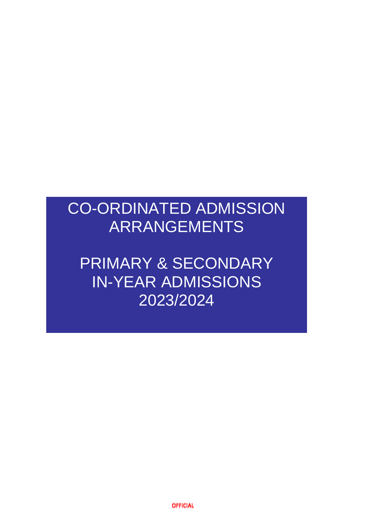# CO-ORDINATED ADMISSION ARRANGEMENTS

PRIMARY & SECONDARY IN-YEAR ADMISSIONS 2023/2024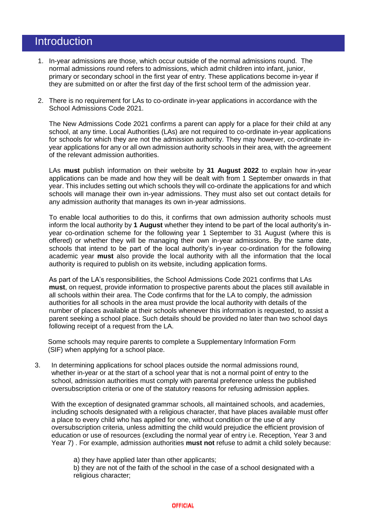### **Introduction**

- 1. In-year admissions are those, which occur outside of the normal admissions round. The normal admissions round refers to admissions, which admit children into infant, junior, primary or secondary school in the first year of entry. These applications become in-year if they are submitted on or after the first day of the first school term of the admission year.
- 2. There is no requirement for LAs to co-ordinate in-year applications in accordance with the School Admissions Code 2021.

The New Admissions Code 2021 confirms a parent can apply for a place for their child at any school, at any time. Local Authorities (LAs) are not required to co-ordinate in-year applications for schools for which they are not the admission authority. They may however, co-ordinate inyear applications for any or all own admission authority schools in their area, with the agreement of the relevant admission authorities.

LAs **must** publish information on their website by **31 August 2022** to explain how in-year applications can be made and how they will be dealt with from 1 September onwards in that year. This includes setting out which schools they will co-ordinate the applications for and which schools will manage their own in-year admissions. They must also set out contact details for any admission authority that manages its own in-year admissions.

To enable local authorities to do this, it confirms that own admission authority schools must inform the local authority by **1 August** whether they intend to be part of the local authority's inyear co-ordination scheme for the following year 1 September to 31 August (where this is offered) or whether they will be managing their own in-year admissions. By the same date, schools that intend to be part of the local authority's in-year co-ordination for the following academic year **must** also provide the local authority with all the information that the local authority is required to publish on its website, including application forms.

As part of the LA's responsibilities, the School Admissions Code 2021 confirms that LAs **must**, on request, provide information to prospective parents about the places still available in all schools within their area. The Code confirms that for the LA to comply, the admission authorities for all schools in the area must provide the local authority with details of the number of places available at their schools whenever this information is requested, to assist a parent seeking a school place. Such details should be provided no later than two school days following receipt of a request from the LA.

 Some schools may require parents to complete a Supplementary Information Form (SIF) when applying for a school place.

3. In determining applications for school places outside the normal admissions round, whether in-year or at the start of a school year that is not a normal point of entry to the school, admission authorities must comply with parental preference unless the published oversubscription criteria or one of the statutory reasons for refusing admission applies.

With the exception of designated grammar schools, all maintained schools, and academies, including schools designated with a religious character, that have places available must offer a place to every child who has applied for one, without condition or the use of any oversubscription criteria, unless admitting the child would prejudice the efficient provision of education or use of resources (excluding the normal year of entry i.e. Reception, Year 3 and Year 7) . For example, admission authorities **must not** refuse to admit a child solely because:

a) they have applied later than other applicants;

b) they are not of the faith of the school in the case of a school designated with a religious character;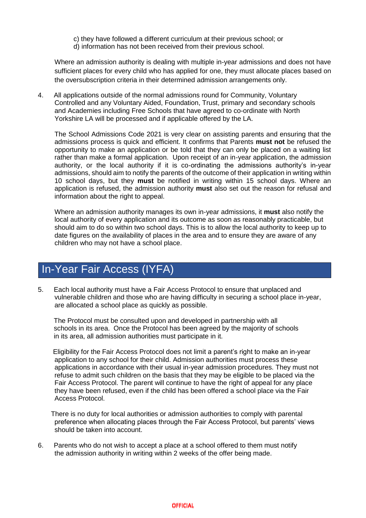- c) they have followed a different curriculum at their previous school; or
- d) information has not been received from their previous school.

Where an admission authority is dealing with multiple in-year admissions and does not have sufficient places for every child who has applied for one, they must allocate places based on the oversubscription criteria in their determined admission arrangements only.

4. All applications outside of the normal admissions round for Community, Voluntary Controlled and any Voluntary Aided, Foundation, Trust, primary and secondary schools and Academies including Free Schools that have agreed to co-ordinate with North Yorkshire LA will be processed and if applicable offered by the LA.

The School Admissions Code 2021 is very clear on assisting parents and ensuring that the admissions process is quick and efficient. It confirms that Parents **must not** be refused the opportunity to make an application or be told that they can only be placed on a waiting list rather than make a formal application. Upon receipt of an in-year application, the admission authority, or the local authority if it is co-ordinating the admissions authority's in-year admissions, should aim to notify the parents of the outcome of their application in writing within 10 school days, but they **must** be notified in writing within 15 school days. Where an application is refused, the admission authority **must** also set out the reason for refusal and information about the right to appeal.

Where an admission authority manages its own in-year admissions, it **must** also notify the local authority of every application and its outcome as soon as reasonably practicable, but should aim to do so within two school days. This is to allow the local authority to keep up to date figures on the availability of places in the area and to ensure they are aware of any children who may not have a school place.

## In-Year Fair Access (IYFA)

5. Each local authority must have a Fair Access Protocol to ensure that unplaced and vulnerable children and those who are having difficulty in securing a school place in-year, are allocated a school place as quickly as possible.

The Protocol must be consulted upon and developed in partnership with all schools in its area. Once the Protocol has been agreed by the majority of schools in its area, all admission authorities must participate in it.

 Eligibility for the Fair Access Protocol does not limit a parent's right to make an in-year application to any school for their child. Admission authorities must process these applications in accordance with their usual in-year admission procedures. They must not refuse to admit such children on the basis that they may be eligible to be placed via the Fair Access Protocol. The parent will continue to have the right of appeal for any place they have been refused, even if the child has been offered a school place via the Fair Access Protocol.

 There is no duty for local authorities or admission authorities to comply with parental preference when allocating places through the Fair Access Protocol, but parents' views should be taken into account.

6. Parents who do not wish to accept a place at a school offered to them must notify the admission authority in writing within 2 weeks of the offer being made.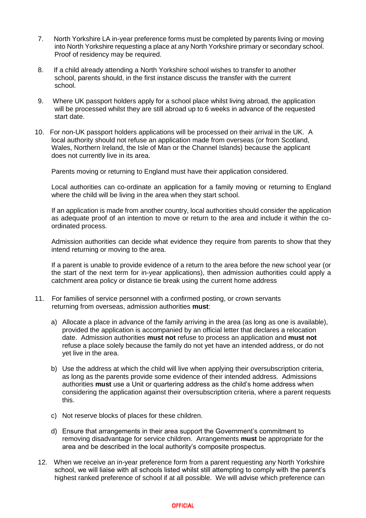- 7. North Yorkshire LA in-year preference forms must be completed by parents living or moving into North Yorkshire requesting a place at any North Yorkshire primary or secondary school. Proof of residency may be required.
- 8. If a child already attending a North Yorkshire school wishes to transfer to another school, parents should, in the first instance discuss the transfer with the current school.
- 9. Where UK passport holders apply for a school place whilst living abroad, the application will be processed whilst they are still abroad up to 6 weeks in advance of the requested start date.
- 10. For non-UK passport holders applications will be processed on their arrival in the UK. A local authority should not refuse an application made from overseas (or from Scotland, Wales, Northern Ireland, the Isle of Man or the Channel Islands) because the applicant does not currently live in its area.

Parents moving or returning to England must have their application considered.

Local authorities can co-ordinate an application for a family moving or returning to England where the child will be living in the area when they start school.

If an application is made from another country, local authorities should consider the application as adequate proof of an intention to move or return to the area and include it within the coordinated process.

Admission authorities can decide what evidence they require from parents to show that they intend returning or moving to the area.

If a parent is unable to provide evidence of a return to the area before the new school year (or the start of the next term for in-year applications), then admission authorities could apply a catchment area policy or distance tie break using the current home address

- 11. For families of service personnel with a confirmed posting, or crown servants returning from overseas, admission authorities **must**:
	- a) Allocate a place in advance of the family arriving in the area (as long as one is available), provided the application is accompanied by an official letter that declares a relocation date. Admission authorities **must not** refuse to process an application and **must not** refuse a place solely because the family do not yet have an intended address, or do not yet live in the area.
	- b) Use the address at which the child will live when applying their oversubscription criteria, as long as the parents provide some evidence of their intended address. Admissions authorities **must** use a Unit or quartering address as the child's home address when considering the application against their oversubscription criteria, where a parent requests this.
	- c) Not reserve blocks of places for these children.
	- d) Ensure that arrangements in their area support the Government's commitment to removing disadvantage for service children. Arrangements **must** be appropriate for the area and be described in the local authority's composite prospectus.
- 12. When we receive an in-year preference form from a parent requesting any North Yorkshire school, we will liaise with all schools listed whilst still attempting to comply with the parent's highest ranked preference of school if at all possible. We will advise which preference can